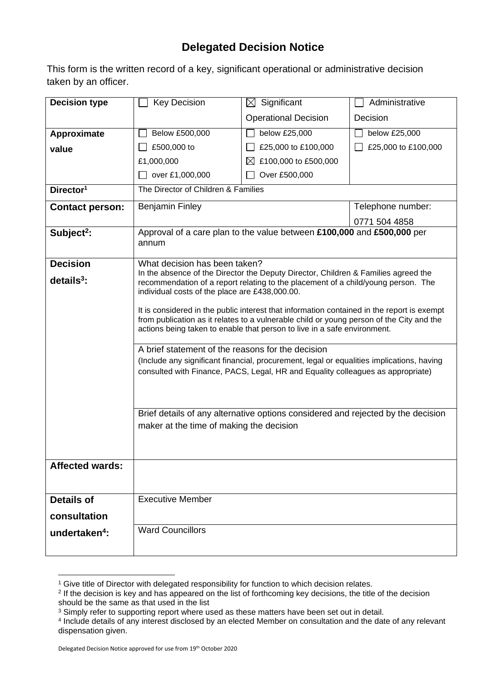## **Delegated Decision Notice**

This form is the written record of a key, significant operational or administrative decision taken by an officer.

| <b>Decision type</b>      | <b>Key Decision</b>                                                                                                                                                                                                                                                                                                                                                                                                                                                                                                                                                                                                                                                                                                                                                                                                                                                  | $\boxtimes$ Significant             | Administrative      |  |
|---------------------------|----------------------------------------------------------------------------------------------------------------------------------------------------------------------------------------------------------------------------------------------------------------------------------------------------------------------------------------------------------------------------------------------------------------------------------------------------------------------------------------------------------------------------------------------------------------------------------------------------------------------------------------------------------------------------------------------------------------------------------------------------------------------------------------------------------------------------------------------------------------------|-------------------------------------|---------------------|--|
|                           |                                                                                                                                                                                                                                                                                                                                                                                                                                                                                                                                                                                                                                                                                                                                                                                                                                                                      | <b>Operational Decision</b>         | Decision            |  |
| Approximate               | Below £500,000                                                                                                                                                                                                                                                                                                                                                                                                                                                                                                                                                                                                                                                                                                                                                                                                                                                       | below £25,000                       | below £25,000       |  |
| value                     | £500,000 to                                                                                                                                                                                                                                                                                                                                                                                                                                                                                                                                                                                                                                                                                                                                                                                                                                                          | £25,000 to £100,000                 | £25,000 to £100,000 |  |
|                           | £1,000,000                                                                                                                                                                                                                                                                                                                                                                                                                                                                                                                                                                                                                                                                                                                                                                                                                                                           | £100,000 to £500,000<br>$\boxtimes$ |                     |  |
|                           | over £1,000,000                                                                                                                                                                                                                                                                                                                                                                                                                                                                                                                                                                                                                                                                                                                                                                                                                                                      | Over £500,000                       |                     |  |
| Director <sup>1</sup>     | The Director of Children & Families                                                                                                                                                                                                                                                                                                                                                                                                                                                                                                                                                                                                                                                                                                                                                                                                                                  |                                     |                     |  |
| <b>Contact person:</b>    | <b>Benjamin Finley</b>                                                                                                                                                                                                                                                                                                                                                                                                                                                                                                                                                                                                                                                                                                                                                                                                                                               |                                     | Telephone number:   |  |
|                           |                                                                                                                                                                                                                                                                                                                                                                                                                                                                                                                                                                                                                                                                                                                                                                                                                                                                      |                                     | 0771 504 4858       |  |
| Subject <sup>2</sup> :    | Approval of a care plan to the value between £100,000 and £500,000 per<br>annum                                                                                                                                                                                                                                                                                                                                                                                                                                                                                                                                                                                                                                                                                                                                                                                      |                                     |                     |  |
| <b>Decision</b>           | What decision has been taken?                                                                                                                                                                                                                                                                                                                                                                                                                                                                                                                                                                                                                                                                                                                                                                                                                                        |                                     |                     |  |
| $details3$ :              | In the absence of the Director the Deputy Director, Children & Families agreed the<br>recommendation of a report relating to the placement of a child/young person. The<br>individual costs of the place are £438,000.00.<br>It is considered in the public interest that information contained in the report is exempt<br>from publication as it relates to a vulnerable child or young person of the City and the<br>actions being taken to enable that person to live in a safe environment.<br>A brief statement of the reasons for the decision<br>(Include any significant financial, procurement, legal or equalities implications, having<br>consulted with Finance, PACS, Legal, HR and Equality colleagues as appropriate)<br>Brief details of any alternative options considered and rejected by the decision<br>maker at the time of making the decision |                                     |                     |  |
| <b>Affected wards:</b>    |                                                                                                                                                                                                                                                                                                                                                                                                                                                                                                                                                                                                                                                                                                                                                                                                                                                                      |                                     |                     |  |
| <b>Details of</b>         | <b>Executive Member</b>                                                                                                                                                                                                                                                                                                                                                                                                                                                                                                                                                                                                                                                                                                                                                                                                                                              |                                     |                     |  |
| consultation              |                                                                                                                                                                                                                                                                                                                                                                                                                                                                                                                                                                                                                                                                                                                                                                                                                                                                      |                                     |                     |  |
|                           | <b>Ward Councillors</b>                                                                                                                                                                                                                                                                                                                                                                                                                                                                                                                                                                                                                                                                                                                                                                                                                                              |                                     |                     |  |
| undertaken <sup>4</sup> : |                                                                                                                                                                                                                                                                                                                                                                                                                                                                                                                                                                                                                                                                                                                                                                                                                                                                      |                                     |                     |  |

<sup>&</sup>lt;sup>1</sup> Give title of Director with delegated responsibility for function to which decision relates.

<sup>2</sup> If the decision is key and has appeared on the list of forthcoming key decisions, the title of the decision should be the same as that used in the list

<sup>&</sup>lt;sup>3</sup> Simply refer to supporting report where used as these matters have been set out in detail.

<sup>4</sup> Include details of any interest disclosed by an elected Member on consultation and the date of any relevant dispensation given.